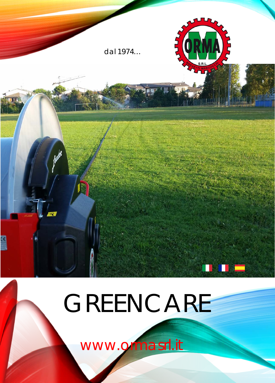

## GREENCARE

www.grmasrl.it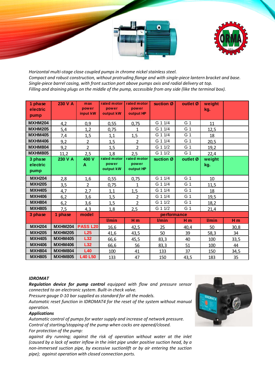



*Horizontal multi-stage close coupled pumps in chrome nickel stainless steel. Compact and robust construction, without protruding flange and with single-piece lantern bracket and base. Single-piece barrel casing, with front suction port above pumps axis and radial delivery at top. Filling and draining plugs on the middle of the pump, accessible from any side (like the terminal box).*

| 1 phase<br>electric<br>pump | 230 V A        | max<br>power<br>input kW | rated motor<br>power<br>output kW | rated motor<br>power<br>output HP | suction Ø | outlet Ø       | weight<br>kg. |      |  |
|-----------------------------|----------------|--------------------------|-----------------------------------|-----------------------------------|-----------|----------------|---------------|------|--|
| <b>MXHM204</b>              | 4,2            | 0,9                      | 0,55                              | 0,75                              | G 1 1/4   | G 1            | 11            |      |  |
| <b>MXHM205</b>              | 5,4            | 1,2                      | 0,75                              | 1                                 | G 1 1/4   | G 1            | 12,5          |      |  |
| <b>MXHM405</b>              | 7,4            | 1,5                      | 1,1                               | 1,5                               | G 1 1/4   | G 1            | 18            |      |  |
| <b>MXHM406</b>              | 9,2            | $\overline{2}$           | 1,5                               | $\overline{2}$                    | G 1 1/4   | G 1            | 20,5          |      |  |
| <b>MXHM804</b>              | 9,2            | $\overline{2}$           | 1,5                               | $\overline{2}$                    | G 1 1/2   | G 1            | 19,2          |      |  |
| <b>MXHM805</b>              | 11,2           | 2,5                      | 1,8                               | 2,5                               | G 1 1/2   | G 1            | 22,4          |      |  |
| 3 phase<br>electric<br>pump | 230 V A        | 400 V<br>A               | rated motor<br>power<br>output kW | rated motor<br>power<br>output HP | suction Ø | outlet Ø       | weight<br>kg. |      |  |
| <b>MXH204</b>               | 2,8            | <u>1,6</u>               | 0,55                              | 0,75                              | G 1 1/4   | G 1            | 10            |      |  |
| <b>MXH205</b>               | 3,5            | $\overline{2}$           | 0,75                              | $\mathbf 1$                       | G 1 1/4   | G 1            | 11,5          |      |  |
| <b>MXH405</b>               | 4,7            | 2,7                      | 1,1                               | 1,5                               | G 1 1/4   | G 1            | 18            |      |  |
| <b>MXH406</b>               | 6,2            | 3,6                      | 1,5                               | $\overline{2}$                    | G 1 1/4   | G 1            | 19,5          |      |  |
| <b>MXH804</b>               | 6,2            | 3,6                      | 1,5                               | $\overline{2}$                    | G 1 1/2   | G 1            | 18,2          |      |  |
| <b>MXH805</b>               | 7,5            | 4,3                      | 1,8                               | 2,5                               | G 1 1/2   | G 1            | 21,4          |      |  |
| 3 phase                     | 1 phase        | model                    | performance                       |                                   |           |                |               |      |  |
|                             |                |                          | I/min                             | Hm                                | I/min     | H <sub>m</sub> | l/min         | Hm   |  |
| <b>MXH204</b>               | <b>MXHM204</b> | <b>PASS L20</b>          | 16,6                              | 42,5                              | 25        | 40,4           | 50            | 30,8 |  |
| <b>MXH205</b>               | <b>MXHM205</b> | L25                      | 41,6                              | 43,5                              | 50        | 39             | 58,3          | 34   |  |
| <b>MXH405</b>               | <b>MXHM405</b> | L32                      | 66,6                              | 45,5                              | 83,3      | 40             | 100           | 33,5 |  |
| <b>MXH406</b>               | <b>MXHM406</b> | L32                      | 66,6                              | 56                                | 83,3      | 51             | 100           | 44   |  |
| <b>MXH804</b>               | <b>MXHM804</b> | L40                      | 100                               | 41                                | 133       | 37             | 150           | 34,5 |  |
| <b>MXH805</b>               | <b>MXHM805</b> | <b>L40 L50</b>           | 133                               | 47                                | 150       | 43,5           | 183           | 35   |  |

## *IDROMAT*

*Regulation device for pump control equipped with flow and pressure sensor connected to an electronic system. Built-in check valve.*

*Pressure gauge 0-10 bar supplied as standard for all the models.*

*Automatic reset function in IDROMAT4 for the reset of the system without manual operation.*

## *Applications*

*Automatic control of pumps for water supply and increase of network pressure. Control of starting/stopping of the pump when cocks are opened/closed. For protection of the pump:*

*against dry running; against the risk of operation without water at the inlet (caused by a lack of water inflow in the inlet pipe under positive suction head, by a non-immersed suction pipe, by excessive suctionlift or by air entering the suction pipe); against operation with closed connection ports.*

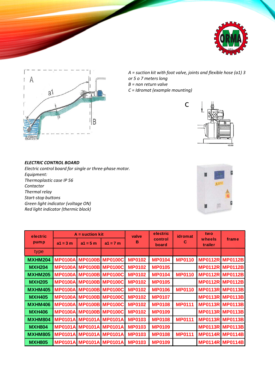



*A = suction kit with foot valve, joints and flexible hose (a1) 3 or 5 o 7 meters long B = non return valve*

c

*C = Idromat (example mounting)*



## *ELECTRIC CONTROL BOARD*

*Electric control board for single or three-phase motor. Equipment: Thermoplastic case IP 56 Contactor Thermal relay Start-stop buttons Green light indicator (voltage ON) Red light indicator (thermic block)*



| electric<br>pump | $A =$ suction kit |            |                                | valve         | electric         | idromat       | two               |                        |
|------------------|-------------------|------------|--------------------------------|---------------|------------------|---------------|-------------------|------------------------|
|                  | $a1 = 3 m$        | $a1 = 5 m$ | $a1 = 7 m$                     | B             | control<br>board | C             | wheels<br>trailer | frame                  |
| type             |                   |            |                                |               |                  |               |                   |                        |
| <b>MXHM204</b>   |                   |            | <b>MP0100A MP0100B MP0100C</b> | <b>MP0102</b> | <b>MP0104</b>    | <b>MP0110</b> |                   | <b>MP0112R MP0112B</b> |
| <b>MXH204</b>    |                   |            | <b>MP0100A MP0100B MP0100C</b> | <b>MP0102</b> | <b>MP0105</b>    |               |                   | <b>MP0112R MP0112B</b> |
| <b>MXHM205</b>   |                   |            | <b>MP0100A MP0100B MP0100C</b> | <b>MP0102</b> | <b>MP0104</b>    | <b>MP0110</b> |                   | <b>MP0112R MP0112B</b> |
| <b>MXH205</b>    |                   |            | <b>MP0100A MP0100B MP0100C</b> | <b>MP0102</b> | <b>MP0105</b>    |               |                   | <b>MP0112R MP0112B</b> |
| <b>MXHM405</b>   |                   |            | <b>MP0100A MP0100B MP0100C</b> | <b>MP0102</b> | <b>MP0106</b>    | <b>MP0110</b> |                   | <b>MP0113R MP0113B</b> |
| <b>MXH405</b>    |                   |            | <b>MP0100A MP0100B MP0100C</b> | <b>MP0102</b> | <b>MP0107</b>    |               |                   | <b>MP0113R MP0113B</b> |
| <b>MXHM406</b>   |                   |            | <b>MP0100A MP0100B MP0100C</b> | <b>MP0102</b> | <b>MP0108</b>    | <b>MP0111</b> |                   | <b>MP0113R MP0113B</b> |
| <b>MXH406</b>    |                   |            | <b>MP0100A MP0100B MP0100C</b> | <b>MP0102</b> | <b>MP0109</b>    |               |                   | <b>MP0113R MP0113B</b> |
| <b>MXHM804</b>   |                   |            | <b>MP0101A MP0101A MP0101A</b> | <b>MP0103</b> | <b>MP0108</b>    | <b>MP0111</b> |                   | <b>MP0113R MP0113B</b> |
| <b>MXH804</b>    |                   |            | <b>MP0101A MP0101A MP0101A</b> | <b>MP0103</b> | <b>MP0109</b>    |               |                   | <b>MP0113R MP0113B</b> |
| <b>MXHM805</b>   |                   |            | <b>MP0101A MP0101A MP0101A</b> | <b>MP0103</b> | <b>MP0108</b>    | <b>MP0111</b> |                   | <b>MP0114R MP0114B</b> |
| <b>MXH805</b>    |                   |            | <b>MP0101A MP0101A MP0101A</b> | <b>MP0103</b> | <b>MP0109</b>    |               |                   | <b>MP0114R MP0114B</b> |